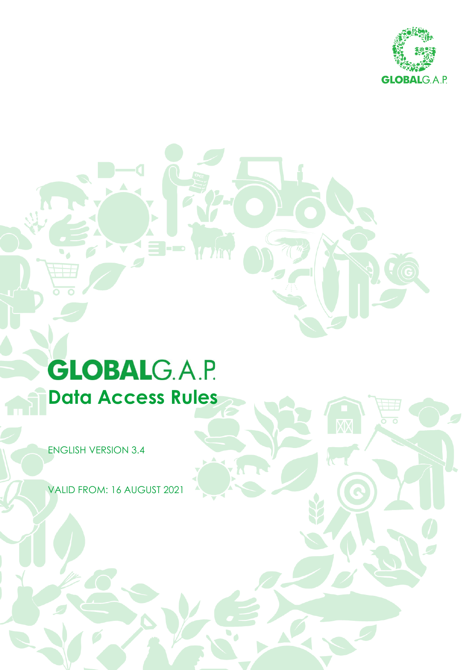

 $\overline{\mathbf{C}}$ 

# **GLOBALG.A.P. Data Access Rules**

ENGLISH VERSION 3.4

VALID FROM: 16 AUGUST 2021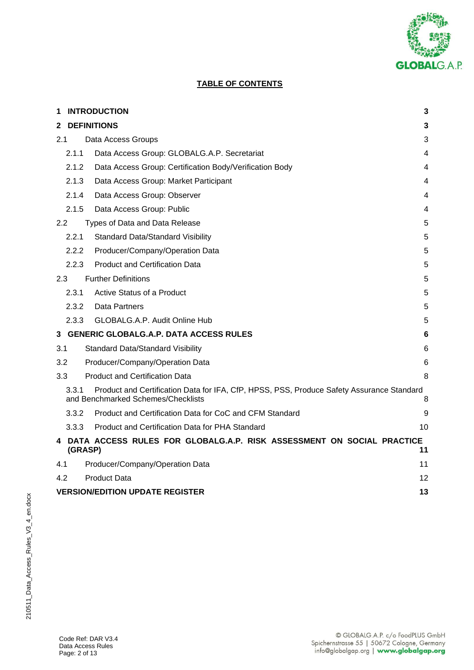

# **TABLE OF CONTENTS**

| 1   | <b>INTRODUCTION</b>                                                                                                                           |                                                                                    |    |  |  |  |  |
|-----|-----------------------------------------------------------------------------------------------------------------------------------------------|------------------------------------------------------------------------------------|----|--|--|--|--|
| 2   |                                                                                                                                               | <b>DEFINITIONS</b>                                                                 | 3  |  |  |  |  |
| 2.1 |                                                                                                                                               | Data Access Groups                                                                 | 3  |  |  |  |  |
|     | 2.1.1                                                                                                                                         | Data Access Group: GLOBALG.A.P. Secretariat                                        | 4  |  |  |  |  |
|     | 2.1.2                                                                                                                                         | Data Access Group: Certification Body/Verification Body                            | 4  |  |  |  |  |
|     | 2.1.3                                                                                                                                         | Data Access Group: Market Participant                                              | 4  |  |  |  |  |
|     | 2.1.4                                                                                                                                         | Data Access Group: Observer                                                        | 4  |  |  |  |  |
|     | 2.1.5                                                                                                                                         | Data Access Group: Public                                                          | 4  |  |  |  |  |
| 2.2 |                                                                                                                                               | Types of Data and Data Release                                                     | 5  |  |  |  |  |
|     | 2.2.1                                                                                                                                         | <b>Standard Data/Standard Visibility</b>                                           | 5  |  |  |  |  |
|     | 2.2.2                                                                                                                                         | Producer/Company/Operation Data                                                    | 5  |  |  |  |  |
|     | 2.2.3                                                                                                                                         | <b>Product and Certification Data</b>                                              | 5  |  |  |  |  |
| 2.3 |                                                                                                                                               | <b>Further Definitions</b>                                                         | 5  |  |  |  |  |
|     | 2.3.1                                                                                                                                         | Active Status of a Product                                                         | 5  |  |  |  |  |
|     | 2.3.2                                                                                                                                         | Data Partners                                                                      | 5  |  |  |  |  |
|     | 2.3.3                                                                                                                                         | GLOBALG.A.P. Audit Online Hub                                                      | 5  |  |  |  |  |
|     |                                                                                                                                               | 3 GENERIC GLOBALG.A.P. DATA ACCESS RULES                                           | 6  |  |  |  |  |
| 3.1 |                                                                                                                                               | <b>Standard Data/Standard Visibility</b>                                           | 6  |  |  |  |  |
| 3.2 |                                                                                                                                               | Producer/Company/Operation Data                                                    | 6  |  |  |  |  |
| 3.3 |                                                                                                                                               | <b>Product and Certification Data</b>                                              | 8  |  |  |  |  |
|     | Product and Certification Data for IFA, CfP, HPSS, PSS, Produce Safety Assurance Standard<br>3.3.1<br>and Benchmarked Schemes/Checklists<br>8 |                                                                                    |    |  |  |  |  |
|     | 3.3.2                                                                                                                                         | Product and Certification Data for CoC and CFM Standard                            | 9  |  |  |  |  |
|     | 3.3.3                                                                                                                                         | Product and Certification Data for PHA Standard                                    | 10 |  |  |  |  |
|     |                                                                                                                                               | 4 DATA ACCESS RULES FOR GLOBALG.A.P. RISK ASSESSMENT ON SOCIAL PRACTICE<br>(GRASP) | 11 |  |  |  |  |
| 4.1 |                                                                                                                                               | Producer/Company/Operation Data                                                    | 11 |  |  |  |  |
| 4.2 |                                                                                                                                               | <b>Product Data</b>                                                                | 12 |  |  |  |  |
|     |                                                                                                                                               | <b>VERSION/EDITION UPDATE REGISTER</b>                                             | 13 |  |  |  |  |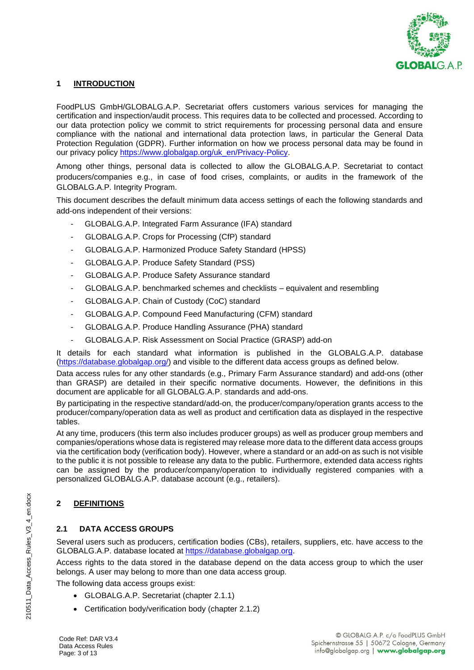

## **1 INTRODUCTION**

FoodPLUS GmbH/GLOBALG.A.P. Secretariat offers customers various services for managing the certification and inspection/audit process. This requires data to be collected and processed. According to our data protection policy we commit to strict requirements for processing personal data and ensure compliance with the national and international data protection laws, in particular the General Data Protection Regulation (GDPR). Further information on how we process personal data may be found in our privacy policy [https://www.globalgap.org/uk\\_en/Privacy-Policy.](https://www.globalgap.org/uk_en/Privacy-Policy)

Among other things, personal data is collected to allow the GLOBALG.A.P. Secretariat to contact producers/companies e.g., in case of food crises, complaints, or audits in the framework of the GLOBALG.A.P. Integrity Program.

This document describes the default minimum data access settings of each the following standards and add-ons independent of their versions:

- GLOBALG.A.P. Integrated Farm Assurance (IFA) standard
- GLOBALG.A.P. Crops for Processing (CfP) standard
- GLOBALG.A.P. Harmonized Produce Safety Standard (HPSS)
- GLOBALG.A.P. Produce Safety Standard (PSS)
- GLOBALG.A.P. Produce Safety Assurance standard
- GLOBALG.A.P. benchmarked schemes and checklists equivalent and resembling
- GLOBALG.A.P. Chain of Custody (CoC) standard
- GLOBALG.A.P. Compound Feed Manufacturing (CFM) standard
- GLOBALG.A.P. Produce Handling Assurance (PHA) standard
- GLOBALG.A.P. Risk Assessment on Social Practice (GRASP) add-on

It details for each standard what information is published in the GLOBALG.A.P. database [\(https://database.globalgap.org/\)](https://database.globalgap.org/) and visible to the different data access groups as defined below.

Data access rules for any other standards (e.g., Primary Farm Assurance standard) and add-ons (other than GRASP) are detailed in their specific normative documents. However, the definitions in this document are applicable for all GLOBALG.A.P. standards and add-ons.

By participating in the respective standard/add-on, the producer/company/operation grants access to the producer/company/operation data as well as product and certification data as displayed in the respective tables.

At any time, producers (this term also includes producer groups) as well as producer group members and companies/operations whose data is registered may release more data to the different data access groups via the certification body (verification body). However, where a standard or an add-on as such is not visible to the public it is not possible to release any data to the public. Furthermore, extended data access rights can be assigned by the producer/company/operation to individually registered companies with a personalized GLOBALG.A.P. database account (e.g., retailers).

# **2 DEFINITIONS**

## **2.1 DATA ACCESS GROUPS**

Several users such as producers, certification bodies (CBs), retailers, suppliers, etc. have access to the GLOBALG.A.P. database located at [https://database.globalgap.org.](https://database.globalgap.org/)

Access rights to the data stored in the database depend on the data access group to which the user belongs. A user may belong to more than one data access group.

The following data access groups exist:

- GLOBALG.A.P. Secretariat (chapter 2.1.1)
- Certification body/verification body (chapter 2.1.2)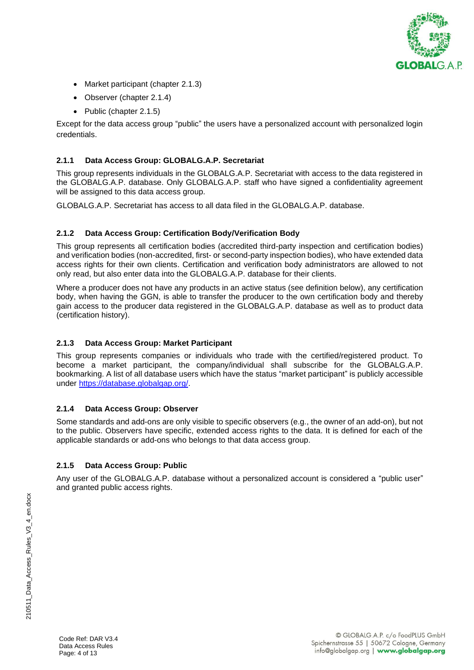

- Market participant (chapter 2.1.3)
- Observer (chapter 2.1.4)
- Public (chapter 2.1.5)

Except for the data access group "public" the users have a personalized account with personalized login credentials.

## **2.1.1 Data Access Group: GLOBALG.A.P. Secretariat**

This group represents individuals in the GLOBALG.A.P. Secretariat with access to the data registered in the GLOBALG.A.P. database. Only GLOBALG.A.P. staff who have signed a confidentiality agreement will be assigned to this data access group.

GLOBALG.A.P. Secretariat has access to all data filed in the GLOBALG.A.P. database.

## **2.1.2 Data Access Group: Certification Body/Verification Body**

This group represents all certification bodies (accredited third-party inspection and certification bodies) and verification bodies (non-accredited, first- or second-party inspection bodies), who have extended data access rights for their own clients. Certification and verification body administrators are allowed to not only read, but also enter data into the GLOBALG.A.P. database for their clients.

Where a producer does not have any products in an active status (see definition below), any certification body, when having the GGN, is able to transfer the producer to the own certification body and thereby gain access to the producer data registered in the GLOBALG.A.P. database as well as to product data (certification history).

## **2.1.3 Data Access Group: Market Participant**

This group represents companies or individuals who trade with the certified/registered product. To become a market participant, the company/individual shall subscribe for the GLOBALG.A.P. bookmarking. A list of all database users which have the status "market participant" is publicly accessible under [https://database.globalgap.org/.](https://database.globalgap.org/)

## **2.1.4 Data Access Group: Observer**

Some standards and add-ons are only visible to specific observers (e.g., the owner of an add-on), but not to the public. Observers have specific, extended access rights to the data. It is defined for each of the applicable standards or add-ons who belongs to that data access group.

## **2.1.5 Data Access Group: Public**

Any user of the GLOBALG.A.P. database without a personalized account is considered a "public user" and granted public access rights.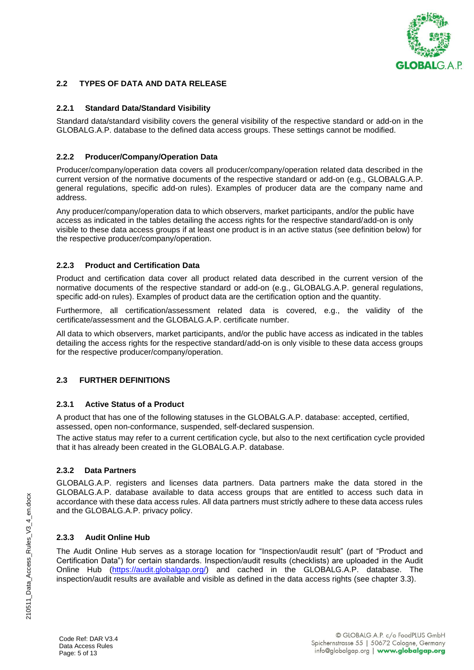

## **2.2 TYPES OF DATA AND DATA RELEASE**

## **2.2.1 Standard Data/Standard Visibility**

Standard data/standard visibility covers the general visibility of the respective standard or add-on in the GLOBALG.A.P. database to the defined data access groups. These settings cannot be modified.

## **2.2.2 Producer/Company/Operation Data**

Producer/company/operation data covers all producer/company/operation related data described in the current version of the normative documents of the respective standard or add-on (e.g., GLOBALG.A.P. general regulations, specific add-on rules). Examples of producer data are the company name and address.

Any producer/company/operation data to which observers, market participants, and/or the public have access as indicated in the tables detailing the access rights for the respective standard/add-on is only visible to these data access groups if at least one product is in an active status (see definition below) for the respective producer/company/operation.

## **2.2.3 Product and Certification Data**

Product and certification data cover all product related data described in the current version of the normative documents of the respective standard or add-on (e.g., GLOBALG.A.P. general regulations, specific add-on rules). Examples of product data are the certification option and the quantity.

Furthermore, all certification/assessment related data is covered, e.g., the validity of the certificate/assessment and the GLOBALG A.P. certificate number

All data to which observers, market participants, and/or the public have access as indicated in the tables detailing the access rights for the respective standard/add-on is only visible to these data access groups for the respective producer/company/operation.

## **2.3 FURTHER DEFINITIONS**

## **2.3.1 Active Status of a Product**

A product that has one of the following statuses in the GLOBALG.A.P. database: accepted, certified, assessed, open non-conformance, suspended, self-declared suspension.

The active status may refer to a current certification cycle, but also to the next certification cycle provided that it has already been created in the GLOBALG.A.P. database.

## **2.3.2 Data Partners**

GLOBALG.A.P. registers and licenses data partners. Data partners make the data stored in the GLOBALG.A.P. database available to data access groups that are entitled to access such data in accordance with these data access rules. All data partners must strictly adhere to these data access rules and the GLOBALG.A.P. privacy policy.

## **2.3.3 Audit Online Hub**

The Audit Online Hub serves as a storage location for "Inspection/audit result" (part of "Product and Certification Data") for certain standards. Inspection/audit results (checklists) are uploaded in the Audit Online Hub [\(https://audit.globalgap.org/\)](https://audit.globalgap.org/) and cached in the GLOBALG.A.P. database. The inspection/audit results are available and visible as defined in the data access rights (see chapter 3.3).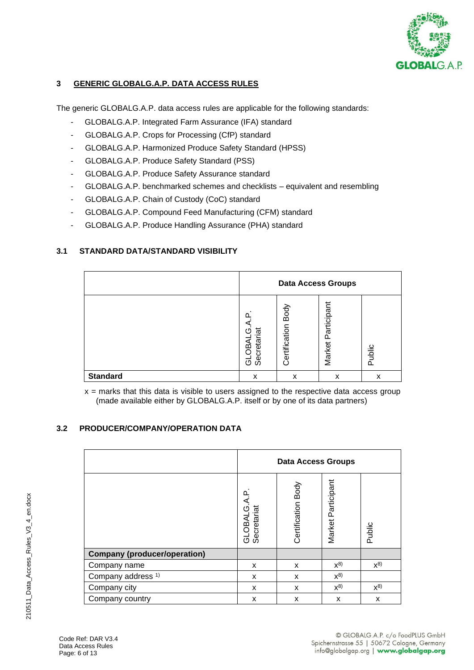

## **3 GENERIC GLOBALG.A.P. DATA ACCESS RULES**

The generic GLOBALG.A.P. data access rules are applicable for the following standards:

- GLOBALG.A.P. Integrated Farm Assurance (IFA) standard
- GLOBALG.A.P. Crops for Processing (CfP) standard
- GLOBALG.A.P. Harmonized Produce Safety Standard (HPSS)
- GLOBALG.A.P. Produce Safety Standard (PSS)
- GLOBALG.A.P. Produce Safety Assurance standard
- GLOBALG.A.P. benchmarked schemes and checklists equivalent and resembling
- GLOBALG.A.P. Chain of Custody (CoC) standard
- GLOBALG.A.P. Compound Feed Manufacturing (CFM) standard
- GLOBALG.A.P. Produce Handling Assurance (PHA) standard

## **3.1 STANDARD DATA/STANDARD VISIBILITY**

|                 | <b>Data Access Groups</b>               |                       |                       |        |
|-----------------|-----------------------------------------|-----------------------|-----------------------|--------|
|                 | ≏<br>ē<br>٢ŋ<br>Secreta<br>₫<br>ஜீ<br>ಠ | Body<br>Certification | Participant<br>Market | Public |
| <b>Standard</b> | x                                       | x                     | x                     | x      |

 $x =$  marks that this data is visible to users assigned to the respective data access group (made available either by GLOBALG.A.P. itself or by one of its data partners)

## **3.2 PRODUCER/COMPANY/OPERATION DATA**

|                                     | <b>Data Access Groups</b>   |                    |                    |         |
|-------------------------------------|-----------------------------|--------------------|--------------------|---------|
|                                     | GLOBALG.A.P.<br>Secretariat | Certification Body | Market Participant | Public  |
| <b>Company (producer/operation)</b> |                             |                    |                    |         |
| Company name                        | X                           | X                  | $x^{8}$            | $X^{8}$ |
| Company address <sup>1)</sup>       | X                           | X                  | $X^{8}$            |         |
| Company city                        | X                           | X                  | $X^{8}$            | $x^{8}$ |
| Company country                     | X                           | X                  | X                  | X       |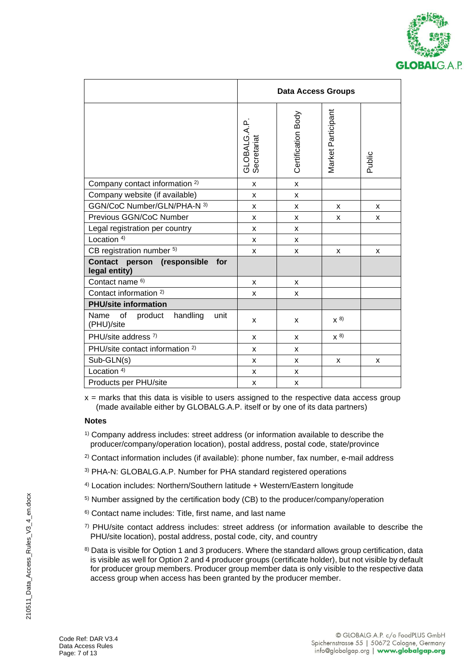

|                                                         | <b>Data Access Groups</b>   |                    |                    |        |  |
|---------------------------------------------------------|-----------------------------|--------------------|--------------------|--------|--|
|                                                         | GLOBALG.A.P.<br>Secretariat | Certification Body | Market Participant | Public |  |
| Company contact information <sup>2)</sup>               | X                           | $\mathsf{x}$       |                    |        |  |
| Company website (if available)                          | X                           | X                  |                    |        |  |
| GGN/CoC Number/GLN/PHA-N 3)                             | X                           | X                  | X                  | X      |  |
| Previous GGN/CoC Number                                 | X                           | X                  | X                  | X      |  |
| Legal registration per country                          | X                           | X                  |                    |        |  |
| Location <sup>4)</sup>                                  | X                           | X                  |                    |        |  |
| CB registration number 5)                               | X                           | X                  | X                  | X      |  |
| Contact person (responsible<br>for<br>legal entity)     |                             |                    |                    |        |  |
| Contact name <sup>6)</sup>                              | X                           | X                  |                    |        |  |
| Contact information <sup>2)</sup>                       | X                           | X                  |                    |        |  |
| <b>PHU/site information</b>                             |                             |                    |                    |        |  |
| Name<br>handling<br>of<br>unit<br>product<br>(PHU)/site | X                           | X                  | $X^{8}$            |        |  |
| PHU/site address 7)                                     | x                           | x                  | $X^{8}$            |        |  |
| PHU/site contact information <sup>2)</sup>              | X                           | x                  |                    |        |  |
| Sub-GLN(s)                                              | X                           | X                  | X                  | X      |  |
| Location <sup>4)</sup>                                  | X                           | X                  |                    |        |  |
| Products per PHU/site                                   | X                           | X                  |                    |        |  |

 $x =$  marks that this data is visible to users assigned to the respective data access group (made available either by GLOBALG.A.P. itself or by one of its data partners)

#### **Notes**

- $2)$  Contact information includes (if available): phone number, fax number, e-mail address
- 3) PHA-N: GLOBALG.A.P. Number for PHA standard registered operations
- 4) Location includes: Northern/Southern latitude + Western/Eastern longitude
- 5) Number assigned by the certification body (CB) to the producer/company/operation
- 6) Contact name includes: Title, first name, and last name
- $7)$  PHU/site contact address includes: street address (or information available to describe the PHU/site location), postal address, postal code, city, and country
- 8) Data is visible for Option 1 and 3 producers. Where the standard allows group certification, data is visible as well for Option 2 and 4 producer groups (certificate holder), but not visible by default for producer group members. Producer group member data is only visible to the respective data access group when access has been granted by the producer member.

<sup>1)</sup> Company address includes: street address (or information available to describe the producer/company/operation location), postal address, postal code, state/province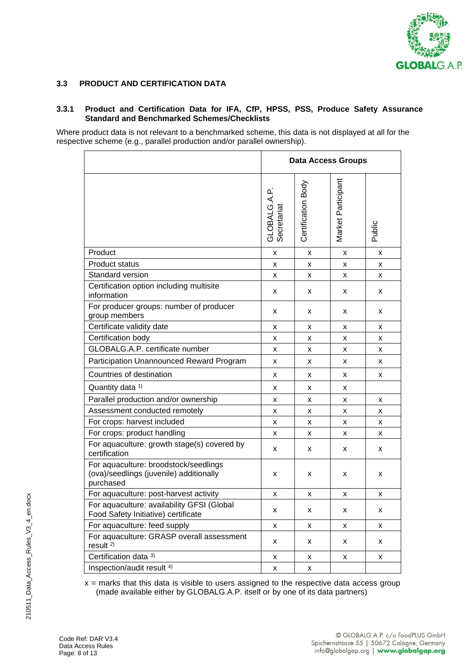

## **3.3 PRODUCT AND CERTIFICATION DATA**

#### **3.3.1 Product and Certification Data for IFA, CfP, HPSS, PSS, Produce Safety Assurance Standard and Benchmarked Schemes/Checklists**

Where product data is not relevant to a benchmarked scheme, this data is not displayed at all for the respective scheme (e.g., parallel production and/or parallel ownership).

|                                                                                               | <b>Data Access Groups</b>   |                    |                    |        |
|-----------------------------------------------------------------------------------------------|-----------------------------|--------------------|--------------------|--------|
|                                                                                               | GLOBALG.A.P.<br>Secretariat | Certification Body | Market Participant | Public |
| Product                                                                                       | X                           | x                  | x                  | x      |
| <b>Product status</b>                                                                         | x                           | x                  | x                  | x      |
| Standard version                                                                              | x                           | x                  | x                  | x      |
| Certification option including multisite<br>information                                       | x                           | x                  | x                  | x      |
| For producer groups: number of producer<br>group members                                      | X                           | x                  | x                  | x      |
| Certificate validity date                                                                     | x                           | x                  | x                  | x      |
| Certification body                                                                            | x                           | x                  | x                  | x      |
| GLOBALG.A.P. certificate number                                                               | x                           | x                  | x                  | x      |
| Participation Unannounced Reward Program                                                      | x                           | x                  | x                  | x      |
| Countries of destination                                                                      | X                           | x                  | x                  | x      |
| Quantity data 1)                                                                              | x                           | x                  | x                  |        |
| Parallel production and/or ownership                                                          | x                           | x                  | x                  | x      |
| Assessment conducted remotely                                                                 | x                           | x                  | x                  | x      |
| For crops: harvest included                                                                   | x                           | x                  | x                  | x      |
| For crops: product handling                                                                   | x                           | x                  | x                  | x      |
| For aquaculture: growth stage(s) covered by<br>certification                                  | x                           | x                  | x                  | x      |
| For aquaculture: broodstock/seedlings<br>(ova)/seedlings (juvenile) additionally<br>purchased | x                           | x                  | x                  | x      |
| For aquaculture: post-harvest activity                                                        | x                           | x                  | x                  | х      |
| For aquaculture: availability GFSI (Global<br>Food Safety Initiative) certificate             | x                           | x                  | x                  | x      |
| For aquaculture: feed supply                                                                  | X                           | X                  | x                  | X      |
| For aquaculture: GRASP overall assessment<br>result <sup>2)</sup>                             | x                           | x                  | x                  | x      |
| Certification data 3)                                                                         | x                           | x                  | x                  | x      |
| Inspection/audit result <sup>4)</sup>                                                         | X                           | X                  |                    |        |

 $x =$  marks that this data is visible to users assigned to the respective data access group (made available either by GLOBALG.A.P. itself or by one of its data partners)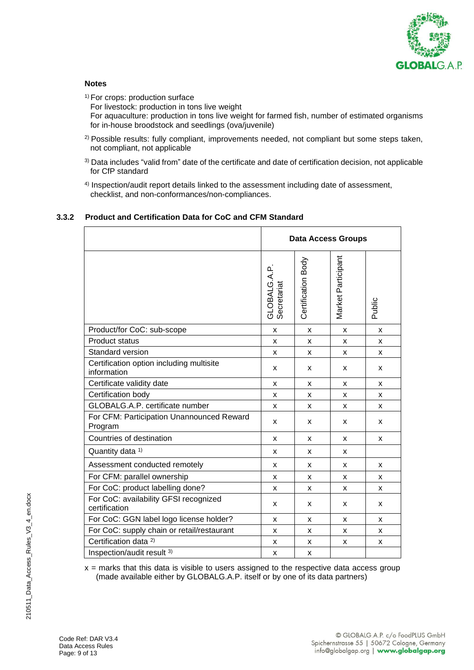

## **Notes**

<sup>1)</sup> For crops: production surface For livestock: production in tons live weight For aquaculture: production in tons live weight for farmed fish, number of estimated organisms for in-house broodstock and seedlings (ova/juvenile)

- <sup>2)</sup> Possible results: fully compliant, improvements needed, not compliant but some steps taken, not compliant, not applicable
- <sup>3)</sup> Data includes "valid from" date of the certificate and date of certification decision, not applicable for CfP standard
- 4) Inspection/audit report details linked to the assessment including date of assessment, checklist, and non-conformances/non-compliances.

## **3.3.2 Product and Certification Data for CoC and CFM Standard**

|                                                         | <b>Data Access Groups</b>   |                    |                    |        |
|---------------------------------------------------------|-----------------------------|--------------------|--------------------|--------|
|                                                         | GLOBALG.A.P.<br>Secretariat | Certification Body | Market Participant | Public |
| Product/for CoC: sub-scope                              | $\mathsf{x}$                | X                  | $\pmb{\mathsf{x}}$ | X      |
| <b>Product status</b>                                   | $\mathsf{x}$                | X                  | X                  | X      |
| Standard version                                        | X                           | X                  | $\mathsf{x}$       | X      |
| Certification option including multisite<br>information | X                           | X                  | X                  | x      |
| Certificate validity date                               | X                           | x                  | X                  | X      |
| Certification body                                      | X                           | x                  | X                  | x      |
| GLOBALG.A.P. certificate number                         | $\mathsf{x}$                | X                  | X                  | X      |
| For CFM: Participation Unannounced Reward<br>Program    | X                           | X                  | X                  | x      |
| Countries of destination                                | X                           | x                  | X                  | X      |
| Quantity data 1)                                        | X                           | X                  | X                  |        |
| Assessment conducted remotely                           | X                           | x                  | X                  | X      |
| For CFM: parallel ownership                             | X                           | X                  | X                  | X      |
| For CoC: product labelling done?                        | X                           | X                  | x                  | x      |
| For CoC: availability GFSI recognized<br>certification  | X                           | X                  | x                  | x      |
| For CoC: GGN label logo license holder?                 | X                           | X                  | X                  | x      |
| For CoC: supply chain or retail/restaurant              | $\mathsf{x}$                | X                  | X                  | X      |
| Certification data <sup>2)</sup>                        | X                           | X                  | X                  | x      |
| Inspection/audit result 3)                              | X                           | x                  |                    |        |

 $x =$  marks that this data is visible to users assigned to the respective data access group (made available either by GLOBALG.A.P. itself or by one of its data partners)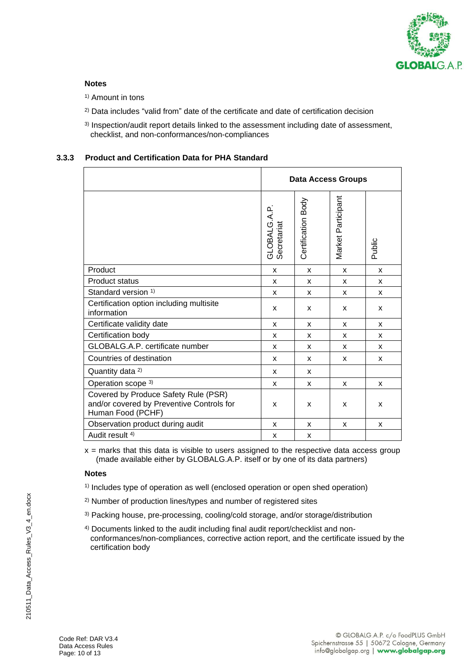

## **Notes**

- <sup>1)</sup> Amount in tons
- <sup>2)</sup> Data includes "valid from" date of the certificate and date of certification decision
- 3) Inspection/audit report details linked to the assessment including date of assessment, checklist, and non-conformances/non-compliances

## **3.3.3 Product and Certification Data for PHA Standard**

|                                                                                                        | Data Access Groups          |                    |                    |        |
|--------------------------------------------------------------------------------------------------------|-----------------------------|--------------------|--------------------|--------|
|                                                                                                        | GLOBALG.A.P.<br>Secretariat | Certification Body | Market Participant | Public |
| Product                                                                                                | X                           | X                  | X                  | X      |
| <b>Product status</b>                                                                                  | X                           | X                  | X                  | X      |
| Standard version <sup>1)</sup>                                                                         | X                           | X                  | X                  | X      |
| Certification option including multisite<br>information                                                | X                           | X                  | X                  | x      |
| Certificate validity date                                                                              | X                           | X                  | X                  | X      |
| Certification body                                                                                     | X                           | X                  | X                  | X      |
| GLOBALG.A.P. certificate number                                                                        | x                           | x                  | x                  | x      |
| Countries of destination                                                                               | x                           | x                  | X                  | X      |
| Quantity data <sup>2)</sup>                                                                            | X                           | X                  |                    |        |
| Operation scope 3)                                                                                     | X                           | X                  | X                  | x      |
| Covered by Produce Safety Rule (PSR)<br>and/or covered by Preventive Controls for<br>Human Food (PCHF) | X                           | X                  | X                  | X      |
| Observation product during audit                                                                       | X                           | X                  | x                  | X      |
| Audit result <sup>4)</sup>                                                                             | X                           | X                  |                    |        |

 $x =$  marks that this data is visible to users assigned to the respective data access group (made available either by GLOBALG.A.P. itself or by one of its data partners)

#### **Notes**

- 1) Includes type of operation as well (enclosed operation or open shed operation)
- 2) Number of production lines/types and number of registered sites
- 3) Packing house, pre-processing, cooling/cold storage, and/or storage/distribution
- 4) Documents linked to the audit including final audit report/checklist and nonconformances/non-compliances, corrective action report, and the certificate issued by the certification body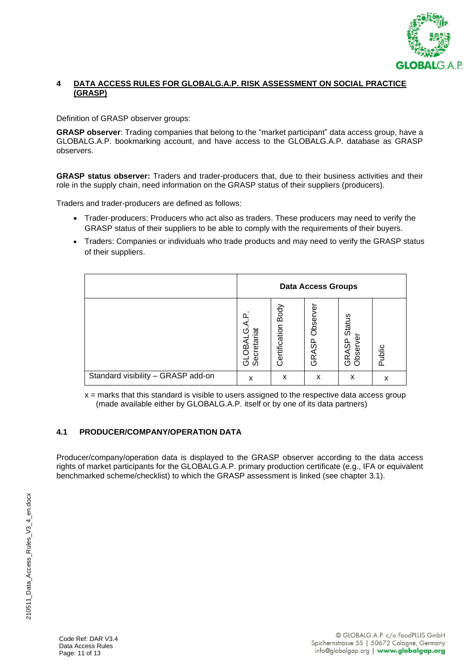

## **4 DATA ACCESS RULES FOR GLOBALG.A.P. RISK ASSESSMENT ON SOCIAL PRACTICE (GRASP)**

Definition of GRASP observer groups:

**GRASP observer**: Trading companies that belong to the "market participant" data access group, have a GLOBALG.A.P. bookmarking account, and have access to the GLOBALG.A.P. database as GRASP observers.

**GRASP status observer:** Traders and trader-producers that, due to their business activities and their role in the supply chain, need information on the GRASP status of their suppliers (producers).

Traders and trader-producers are defined as follows:

- Trader-producers: Producers who act also as traders. These producers may need to verify the GRASP status of their suppliers to be able to comply with the requirements of their buyers.
- Traders: Companies or individuals who trade products and may need to verify the GRASP status of their suppliers.

|                                    | <b>Data Access Groups</b>             |                       |                                   |                                   |        |
|------------------------------------|---------------------------------------|-----------------------|-----------------------------------|-----------------------------------|--------|
|                                    | (ŋ<br>Secretariat<br><b>DBAI</b><br>ಠ | Body<br>Certification | Φ<br>Obser<br>တွ<br>⋖<br>๔<br>(5) | Status<br>မ္တ<br>bser<br>œ<br>ה מ | Public |
| Standard visibility - GRASP add-on | x                                     | x                     | x                                 | x                                 | х      |

 $x =$  marks that this standard is visible to users assigned to the respective data access group (made available either by GLOBALG.A.P. itself or by one of its data partners)

# **4.1 PRODUCER/COMPANY/OPERATION DATA**

Producer/company/operation data is displayed to the GRASP observer according to the data access rights of market participants for the GLOBALG.A.P. primary production certificate (e.g., IFA or equivalent benchmarked scheme/checklist) to which the GRASP assessment is linked (see chapter 3.1).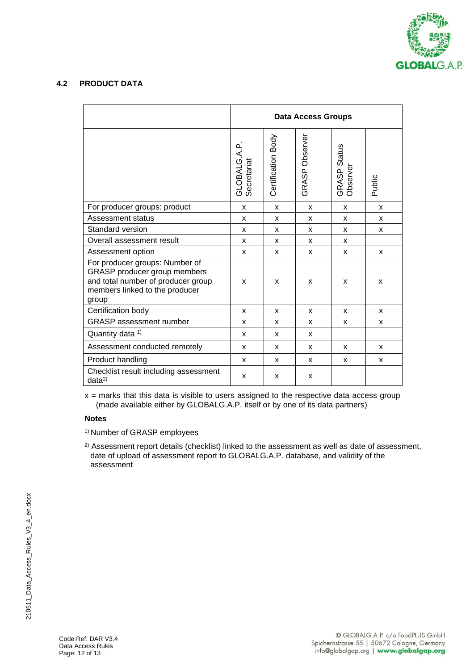

## **4.2 PRODUCT DATA**

|                                                                                                                                                 | <b>Data Access Groups</b>  |                    |                |                          |        |
|-------------------------------------------------------------------------------------------------------------------------------------------------|----------------------------|--------------------|----------------|--------------------------|--------|
|                                                                                                                                                 | GLOBALG.A.P<br>Secretariat | Certification Body | GRASP Observer | GRASP Status<br>Observer | Public |
| For producer groups: product                                                                                                                    | X                          | X                  | X              | X                        | X      |
| <b>Assessment status</b>                                                                                                                        | X                          | X                  | X              | X                        | X      |
| Standard version                                                                                                                                | X                          | X                  | X              | X                        | X      |
| Overall assessment result                                                                                                                       | X                          | X                  | X              | X                        |        |
| Assessment option                                                                                                                               | X                          | X                  | X              | X                        | X      |
| For producer groups: Number of<br>GRASP producer group members<br>and total number of producer group<br>members linked to the producer<br>group | X                          | X                  | X              | X                        | X      |
| Certification body                                                                                                                              | X                          | X                  | X              | X                        | X      |
| <b>GRASP</b> assessment number                                                                                                                  | X                          | X                  | X              | X                        | X      |
| Quantity data 1)                                                                                                                                | X                          | X                  | X              |                          |        |
| Assessment conducted remotely                                                                                                                   | X                          | X                  | X              | X                        | X      |
| Product handling                                                                                                                                | X                          | X                  | X              | X                        | X      |
| Checklist result including assessment<br>data <sup>2</sup>                                                                                      | X                          | X                  | X              |                          |        |

 $x =$  marks that this data is visible to users assigned to the respective data access group (made available either by GLOBALG.A.P. itself or by one of its data partners)

## **Notes**

1) Number of GRASP employees

<sup>2)</sup> Assessment report details (checklist) linked to the assessment as well as date of assessment, date of upload of assessment report to GLOBALG.A.P. database, and validity of the assessment